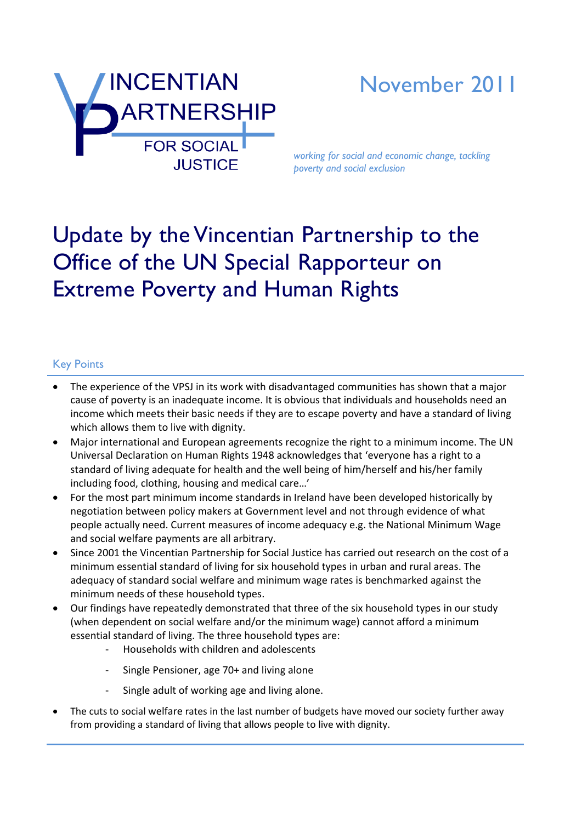

# November 2011

*working for social and economic change, tackling poverty and social exclusion*

# Update by the Vincentian Partnership to the Office of the UN Special Rapporteur on Extreme Poverty and Human Rights

### Key Points

- The experience of the VPSJ in its work with disadvantaged communities has shown that a major cause of poverty is an inadequate income. It is obvious that individuals and households need an income which meets their basic needs if they are to escape poverty and have a standard of living which allows them to live with dignity.
- Major international and European agreements recognize the right to a minimum income. The UN Universal Declaration on Human Rights 1948 acknowledges that 'everyone has a right to a standard of living adequate for health and the well being of him/herself and his/her family including food, clothing, housing and medical care…'
- For the most part minimum income standards in Ireland have been developed historically by negotiation between policy makers at Government level and not through evidence of what people actually need. Current measures of income adequacy e.g. the National Minimum Wage and social welfare payments are all arbitrary.
- Since 2001 the Vincentian Partnership for Social Justice has carried out research on the cost of a minimum essential standard of living for six household types in urban and rural areas. The adequacy of standard social welfare and minimum wage rates is benchmarked against the minimum needs of these household types.
- Our findings have repeatedly demonstrated that three of the six household types in our study (when dependent on social welfare and/or the minimum wage) cannot afford a minimum essential standard of living. The three household types are:
	- Households with children and adolescents
	- Single Pensioner, age 70+ and living alone
	- Single adult of working age and living alone.
- The cuts to social welfare rates in the last number of budgets have moved our society further away from providing a standard of living that allows people to live with dignity.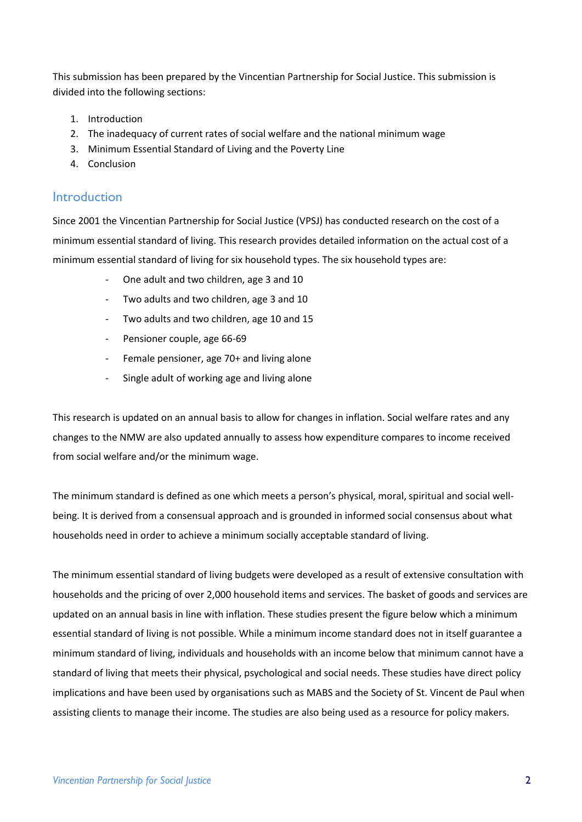This submission has been prepared by the Vincentian Partnership for Social Justice. This submission is divided into the following sections:

- 1. Introduction
- 2. The inadequacy of current rates of social welfare and the national minimum wage
- 3. Minimum Essential Standard of Living and the Poverty Line
- 4. Conclusion

#### **Introduction**

Since 2001 the Vincentian Partnership for Social Justice (VPSJ) has conducted research on the cost of a minimum essential standard of living. This research provides detailed information on the actual cost of a minimum essential standard of living for six household types. The six household types are:

- One adult and two children, age 3 and 10
- Two adults and two children, age 3 and 10
- Two adults and two children, age 10 and 15
- Pensioner couple, age 66-69
- Female pensioner, age 70+ and living alone
- Single adult of working age and living alone

This research is updated on an annual basis to allow for changes in inflation. Social welfare rates and any changes to the NMW are also updated annually to assess how expenditure compares to income received from social welfare and/or the minimum wage.

The minimum standard is defined as one which meets a person's physical, moral, spiritual and social wellbeing. It is derived from a consensual approach and is grounded in informed social consensus about what households need in order to achieve a minimum socially acceptable standard of living.

The minimum essential standard of living budgets were developed as a result of extensive consultation with households and the pricing of over 2,000 household items and services. The basket of goods and services are updated on an annual basis in line with inflation. These studies present the figure below which a minimum essential standard of living is not possible. While a minimum income standard does not in itself guarantee a minimum standard of living, individuals and households with an income below that minimum cannot have a standard of living that meets their physical, psychological and social needs. These studies have direct policy implications and have been used by organisations such as MABS and the Society of St. Vincent de Paul when assisting clients to manage their income. The studies are also being used as a resource for policy makers.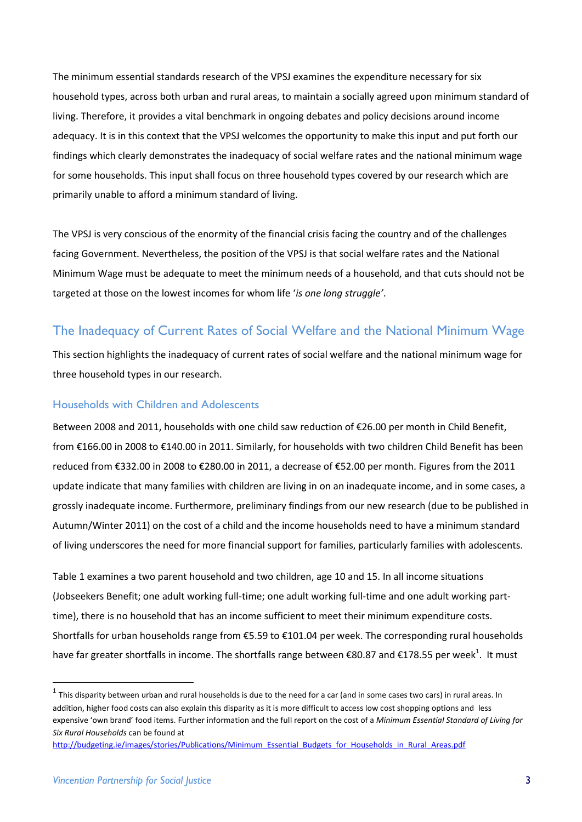The minimum essential standards research of the VPSJ examines the expenditure necessary for six household types, across both urban and rural areas, to maintain a socially agreed upon minimum standard of living. Therefore, it provides a vital benchmark in ongoing debates and policy decisions around income adequacy. It is in this context that the VPSJ welcomes the opportunity to make this input and put forth our findings which clearly demonstrates the inadequacy of social welfare rates and the national minimum wage for some households. This input shall focus on three household types covered by our research which are primarily unable to afford a minimum standard of living.

The VPSJ is very conscious of the enormity of the financial crisis facing the country and of the challenges facing Government. Nevertheless, the position of the VPSJ is that social welfare rates and the National Minimum Wage must be adequate to meet the minimum needs of a household, and that cuts should not be targeted at those on the lowest incomes for whom life '*is one long struggle'*.

# The Inadequacy of Current Rates of Social Welfare and the National Minimum Wage

This section highlights the inadequacy of current rates of social welfare and the national minimum wage for three household types in our research.

#### Households with Children and Adolescents

Between 2008 and 2011, households with one child saw reduction of €26.00 per month in Child Benefit, from €166.00 in 2008 to €140.00 in 2011. Similarly, for households with two children Child Benefit has been reduced from €332.00 in 2008 to €280.00 in 2011, a decrease of €52.00 per month. Figures from the 2011 update indicate that many families with children are living in on an inadequate income, and in some cases, a grossly inadequate income. Furthermore, preliminary findings from our new research (due to be published in Autumn/Winter 2011) on the cost of a child and the income households need to have a minimum standard of living underscores the need for more financial support for families, particularly families with adolescents.

Table 1 examines a two parent household and two children, age 10 and 15. In all income situations (Jobseekers Benefit; one adult working full-time; one adult working full-time and one adult working parttime), there is no household that has an income sufficient to meet their minimum expenditure costs. Shortfalls for urban households range from €5.59 to €101.04 per week. The corresponding rural households have far greater shortfalls in income. The shortfalls range between €80.87 and €178.55 per week<sup>1</sup>. It must

 $^1$  This disparity between urban and rural households is due to the need for a car (and in some cases two cars) in rural areas. In addition, higher food costs can also explain this disparity as it is more difficult to access low cost shopping options and less expensive 'own brand' food items. Further information and the full report on the cost of a *Minimum Essential Standard of Living for Six Rural Households* can be found at

[http://budgeting.ie/images/stories/Publications/Minimum\\_Essential\\_Budgets\\_for\\_Households\\_in\\_Rural\\_Areas.pdf](http://budgeting.ie/images/stories/Publications/Minimum_Essential_Budgets_for_Households_in_Rural_Areas.pdf)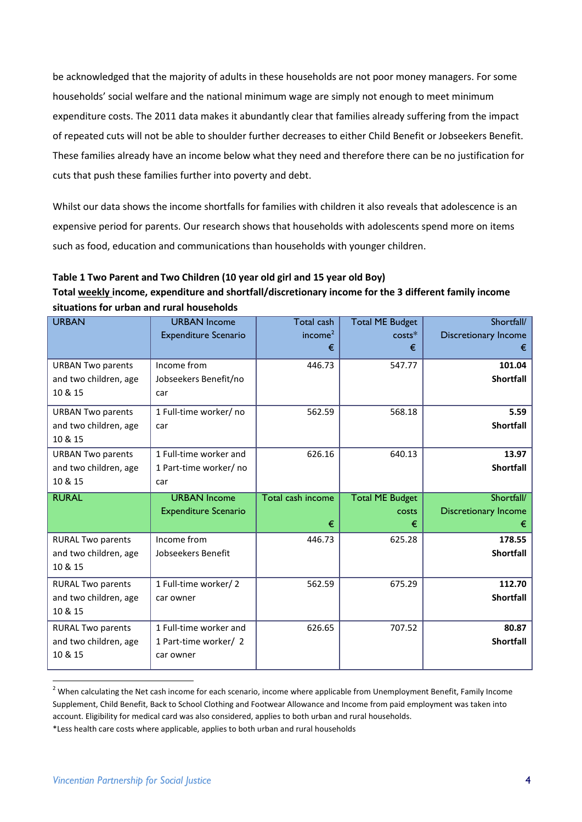be acknowledged that the majority of adults in these households are not poor money managers. For some households' social welfare and the national minimum wage are simply not enough to meet minimum expenditure costs. The 2011 data makes it abundantly clear that families already suffering from the impact of repeated cuts will not be able to shoulder further decreases to either Child Benefit or Jobseekers Benefit. These families already have an income below what they need and therefore there can be no justification for cuts that push these families further into poverty and debt.

Whilst our data shows the income shortfalls for families with children it also reveals that adolescence is an expensive period for parents. Our research shows that households with adolescents spend more on items such as food, education and communications than households with younger children.

#### **Table 1 Two Parent and Two Children (10 year old girl and 15 year old Boy)**

**Total weekly income, expenditure and shortfall/discretionary income for the 3 different family income situations for urban and rural households**

| <b>URBAN</b>             | <b>URBAN Income</b>         | Total cash               | <b>Total ME Budget</b> | Shortfall/                  |
|--------------------------|-----------------------------|--------------------------|------------------------|-----------------------------|
|                          | <b>Expenditure Scenario</b> | income <sup>2</sup><br>€ | $costs*$<br>€          | Discretionary Income<br>€   |
| <b>URBAN Two parents</b> | Income from                 | 446.73                   | 547.77                 | 101.04                      |
| and two children, age    | Jobseekers Benefit/no       |                          |                        | <b>Shortfall</b>            |
| 10 & 15                  | car                         |                          |                        |                             |
| <b>URBAN Two parents</b> | 1 Full-time worker/ no      | 562.59                   | 568.18                 | 5.59                        |
| and two children, age    | car                         |                          |                        | <b>Shortfall</b>            |
| 10 & 15                  |                             |                          |                        |                             |
| <b>URBAN Two parents</b> | 1 Full-time worker and      | 626.16                   | 640.13                 | 13.97                       |
| and two children, age    | 1 Part-time worker/ no      |                          |                        | <b>Shortfall</b>            |
| 10 & 15                  | car                         |                          |                        |                             |
|                          |                             |                          |                        |                             |
| <b>RURAL</b>             | <b>URBAN Income</b>         | Total cash income        | <b>Total ME Budget</b> | Shortfall/                  |
|                          | <b>Expenditure Scenario</b> |                          | <b>COSTS</b>           | <b>Discretionary Income</b> |
|                          |                             | €                        | €                      | €                           |
| <b>RURAL Two parents</b> | Income from                 | 446.73                   | 625.28                 | 178.55                      |
| and two children, age    | Jobseekers Benefit          |                          |                        | <b>Shortfall</b>            |
| 10 & 15                  |                             |                          |                        |                             |
| <b>RURAL Two parents</b> | 1 Full-time worker/2        | 562.59                   | 675.29                 | 112.70                      |
| and two children, age    | car owner                   |                          |                        | <b>Shortfall</b>            |
| 10 & 15                  |                             |                          |                        |                             |
| <b>RURAL Two parents</b> | 1 Full-time worker and      | 626.65                   | 707.52                 | 80.87                       |
| and two children, age    | 1 Part-time worker/2        |                          |                        | <b>Shortfall</b>            |
| 10 & 15                  | car owner                   |                          |                        |                             |

<sup>&</sup>lt;sup>2</sup> When calculating the Net cash income for each scenario, income where applicable from Unemployment Benefit, Family Income Supplement, Child Benefit, Back to School Clothing and Footwear Allowance and Income from paid employment was taken into account. Eligibility for medical card was also considered, applies to both urban and rural households.

<sup>\*</sup>Less health care costs where applicable, applies to both urban and rural households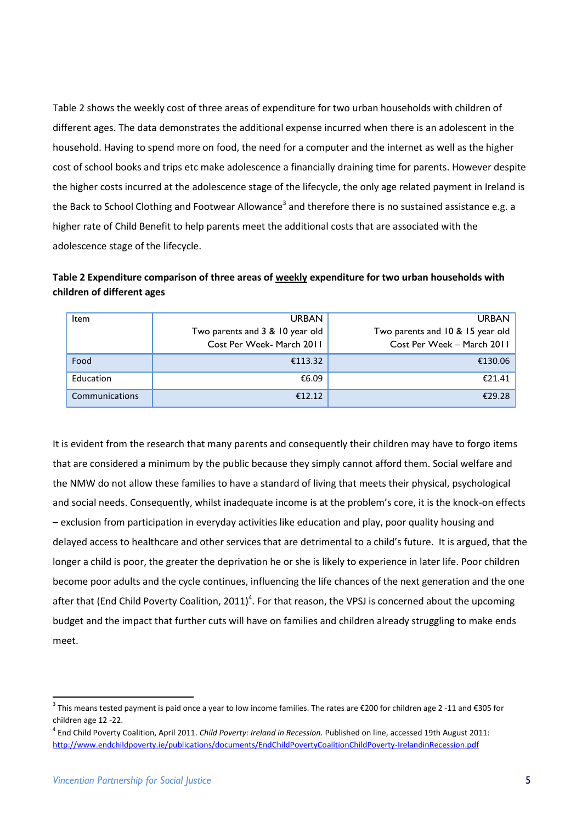Table 2 shows the weekly cost of three areas of expenditure for two urban households with children of different ages. The data demonstrates the additional expense incurred when there is an adolescent in the household. Having to spend more on food, the need for a computer and the internet as well as the higher cost of school books and trips etc make adolescence a financially draining time for parents. However despite the higher costs incurred at the adolescence stage of the lifecycle, the only age related payment in Ireland is the Back to School Clothing and Footwear Allowance<sup>3</sup> and therefore there is no sustained assistance e.g. a higher rate of Child Benefit to help parents meet the additional costs that are associated with the adolescence stage of the lifecycle.

**Table 2 Expenditure comparison of three areas of weekly expenditure for two urban households with children of different ages** 

| Item           | <b>URBAN</b>                                                 | <b>URBAN</b>                                                   |
|----------------|--------------------------------------------------------------|----------------------------------------------------------------|
|                | Two parents and 3 & 10 year old<br>Cost Per Week- March 2011 | Two parents and 10 & 15 year old<br>Cost Per Week - March 2011 |
| Food           | €113.32                                                      | €130.06                                                        |
| Education      | €6.09                                                        | €21.41                                                         |
| Communications | €12.12                                                       | €29.28                                                         |

It is evident from the research that many parents and consequently their children may have to forgo items that are considered a minimum by the public because they simply cannot afford them. Social welfare and the NMW do not allow these families to have a standard of living that meets their physical, psychological and social needs. Consequently, whilst inadequate income is at the problem's core, it is the knock-on effects – exclusion from participation in everyday activities like education and play, poor quality housing and delayed access to healthcare and other services that are detrimental to a child's future. It is argued, that the longer a child is poor, the greater the deprivation he or she is likely to experience in later life. Poor children become poor adults and the cycle continues, influencing the life chances of the next generation and the one after that (End Child Poverty Coalition, 2011)<sup>4</sup>. For that reason, the VPSJ is concerned about the upcoming budget and the impact that further cuts will have on families and children already struggling to make ends meet.

<sup>&</sup>lt;sup>3</sup> This means tested payment is paid once a year to low income families. The rates are €200 for children age 2 -11 and €305 for children age 12 -22.

<sup>4</sup> End Child Poverty Coalition, April 2011. *Child Poverty: Ireland in Recession.* Published on line, accessed 19th August 2011: <http://www.endchildpoverty.ie/publications/documents/EndChildPovertyCoalitionChildPoverty-IrelandinRecession.pdf>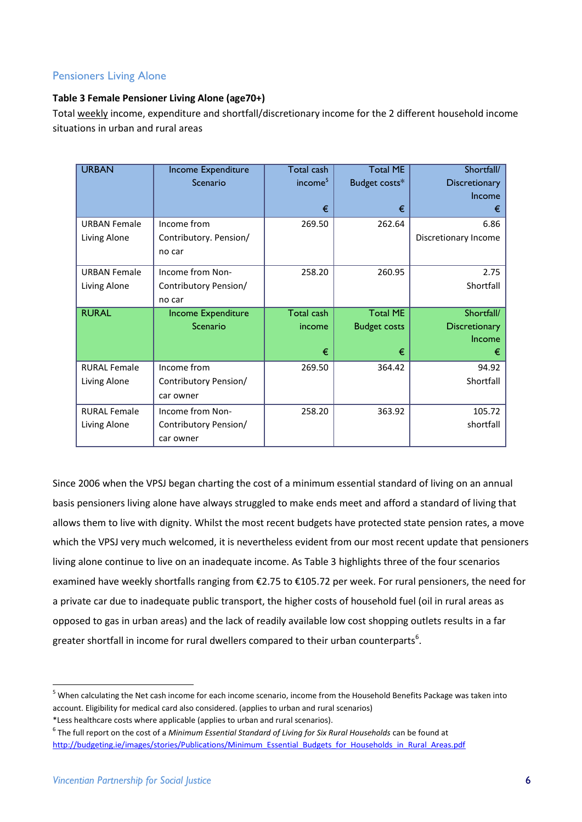### Pensioners Living Alone

#### **Table 3 Female Pensioner Living Alone (age70+)**

Total weekly income, expenditure and shortfall/discretionary income for the 2 different household income situations in urban and rural areas

| <b>URBAN</b>        | Income Expenditure     | Total cash          | <b>Total ME</b>     | Shortfall/           |
|---------------------|------------------------|---------------------|---------------------|----------------------|
|                     | Scenario               | income <sup>5</sup> | Budget costs*       | Discretionary        |
|                     |                        |                     |                     | Income               |
|                     |                        | €                   | €                   | €                    |
| <b>URBAN Female</b> | Income from            | 269.50              | 262.64              | 6.86                 |
| Living Alone        | Contributory. Pension/ |                     |                     | Discretionary Income |
|                     | no car                 |                     |                     |                      |
| <b>URBAN Female</b> | Income from Non-       | 258.20              | 260.95              | 2.75                 |
| Living Alone        | Contributory Pension/  |                     |                     | Shortfall            |
|                     | no car                 |                     |                     |                      |
| <b>RURAL</b>        | Income Expenditure     | Total cash          | <b>Total ME</b>     | Shortfall/           |
|                     | Scenario               | income              | <b>Budget costs</b> | <b>Discretionary</b> |
|                     |                        |                     |                     | Income               |
|                     |                        | €                   | €                   | €                    |
| <b>RURAL Female</b> | Income from            | 269.50              | 364.42              | 94.92                |
| Living Alone        | Contributory Pension/  |                     |                     | Shortfall            |
|                     | car owner              |                     |                     |                      |
| <b>RURAL Female</b> | Income from Non-       | 258.20              | 363.92              | 105.72               |
| Living Alone        | Contributory Pension/  |                     |                     | shortfall            |
|                     | car owner              |                     |                     |                      |

Since 2006 when the VPSJ began charting the cost of a minimum essential standard of living on an annual basis pensioners living alone have always struggled to make ends meet and afford a standard of living that allows them to live with dignity. Whilst the most recent budgets have protected state pension rates, a move which the VPSJ very much welcomed, it is nevertheless evident from our most recent update that pensioners living alone continue to live on an inadequate income. As Table 3 highlights three of the four scenarios examined have weekly shortfalls ranging from €2.75 to €105.72 per week. For rural pensioners, the need for a private car due to inadequate public transport, the higher costs of household fuel (oil in rural areas as opposed to gas in urban areas) and the lack of readily available low cost shopping outlets results in a far greater shortfall in income for rural dwellers compared to their urban counterparts<sup>6</sup>.

<sup>5</sup> When calculating the Net cash income for each income scenario, income from the Household Benefits Package was taken into account. Eligibility for medical card also considered. (applies to urban and rural scenarios)

<sup>\*</sup>Less healthcare costs where applicable (applies to urban and rural scenarios).

<sup>&</sup>lt;sup>6</sup> The full report on the cost of a *Minimum Essential Standard of Living for Six Rural Households can be found at* [http://budgeting.ie/images/stories/Publications/Minimum\\_Essential\\_Budgets\\_for\\_Households\\_in\\_Rural\\_Areas.pdf](http://budgeting.ie/images/stories/Publications/Minimum_Essential_Budgets_for_Households_in_Rural_Areas.pdf)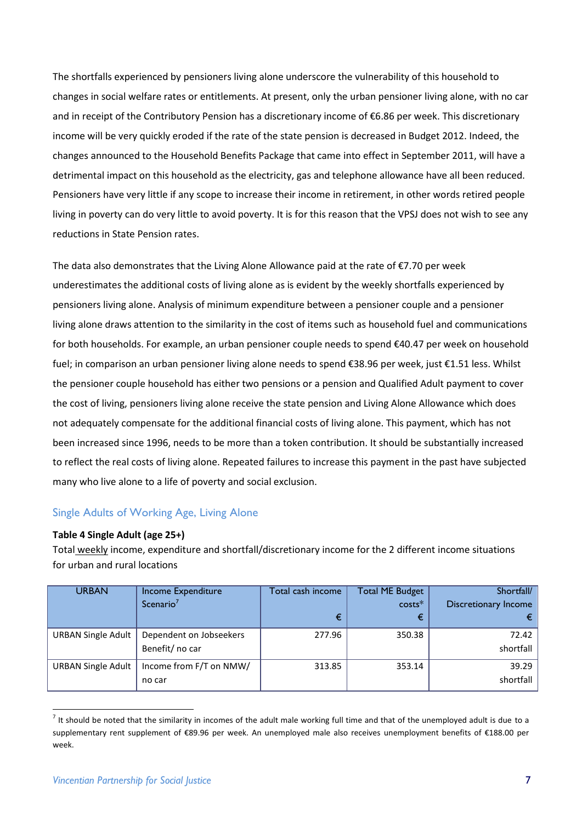The shortfalls experienced by pensioners living alone underscore the vulnerability of this household to changes in social welfare rates or entitlements. At present, only the urban pensioner living alone, with no car and in receipt of the Contributory Pension has a discretionary income of €6.86 per week. This discretionary income will be very quickly eroded if the rate of the state pension is decreased in Budget 2012. Indeed, the changes announced to the Household Benefits Package that came into effect in September 2011, will have a detrimental impact on this household as the electricity, gas and telephone allowance have all been reduced. Pensioners have very little if any scope to increase their income in retirement, in other words retired people living in poverty can do very little to avoid poverty. It is for this reason that the VPSJ does not wish to see any reductions in State Pension rates.

The data also demonstrates that the Living Alone Allowance paid at the rate of €7.70 per week underestimates the additional costs of living alone as is evident by the weekly shortfalls experienced by pensioners living alone. Analysis of minimum expenditure between a pensioner couple and a pensioner living alone draws attention to the similarity in the cost of items such as household fuel and communications for both households. For example, an urban pensioner couple needs to spend €40.47 per week on household fuel; in comparison an urban pensioner living alone needs to spend €38.96 per week, just €1.51 less. Whilst the pensioner couple household has either two pensions or a pension and Qualified Adult payment to cover the cost of living, pensioners living alone receive the state pension and Living Alone Allowance which does not adequately compensate for the additional financial costs of living alone. This payment, which has not been increased since 1996, needs to be more than a token contribution. It should be substantially increased to reflect the real costs of living alone. Repeated failures to increase this payment in the past have subjected many who live alone to a life of poverty and social exclusion.

#### Single Adults of Working Age, Living Alone

#### **Table 4 Single Adult (age 25+)**

Total weekly income, expenditure and shortfall/discretionary income for the 2 different income situations for urban and rural locations

| <b>URBAN</b>              | Income Expenditure      | Total cash income | Total ME Budget | Shortfall/           |
|---------------------------|-------------------------|-------------------|-----------------|----------------------|
|                           | Scenario <sup>7</sup>   |                   | $costs*$        | Discretionary Income |
|                           |                         | €                 | €               |                      |
| <b>URBAN Single Adult</b> | Dependent on Jobseekers | 277.96            | 350.38          | 72.42                |
|                           | Benefit/ no car         |                   |                 | shortfall            |
| <b>URBAN Single Adult</b> | Income from F/T on NMW/ | 313.85            | 353.14          | 39.29                |
|                           | no car                  |                   |                 | shortfall            |

 $^7$  It should be noted that the similarity in incomes of the adult male working full time and that of the unemployed adult is due to a supplementary rent supplement of €89.96 per week. An unemployed male also receives unemployment benefits of €188.00 per week.

1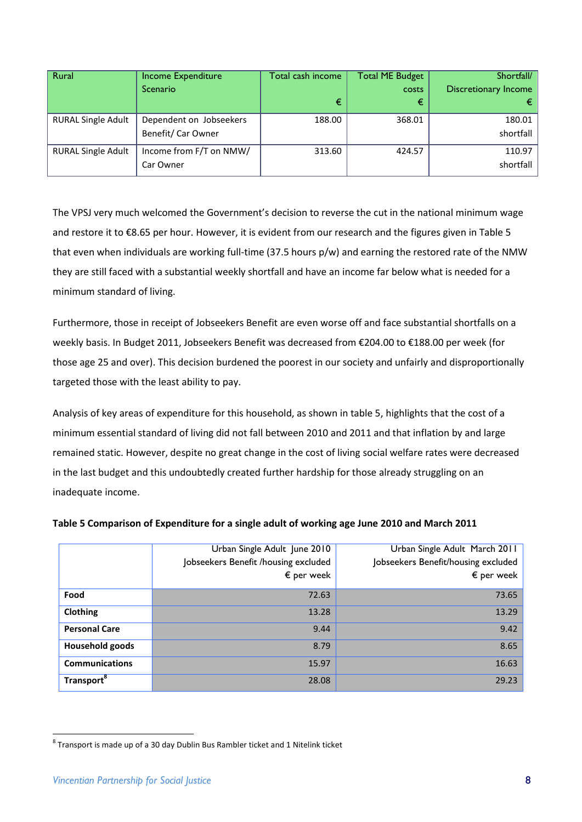| Rural                     | <b>Income Expenditure</b> | Total cash income | <b>Total ME Budget</b> | Shortfall/           |
|---------------------------|---------------------------|-------------------|------------------------|----------------------|
|                           | Scenario                  |                   | <b>COSTS</b>           | Discretionary Income |
|                           |                           | €                 | €                      |                      |
| <b>RURAL Single Adult</b> | Dependent on Jobseekers   | 188.00            | 368.01                 | 180.01               |
|                           | Benefit/ Car Owner        |                   |                        | shortfall            |
| <b>RURAL Single Adult</b> | Income from F/T on NMW/   | 313.60            | 424.57                 | 110.97               |
|                           | Car Owner                 |                   |                        | shortfall            |

The VPSJ very much welcomed the Government's decision to reverse the cut in the national minimum wage and restore it to €8.65 per hour. However, it is evident from our research and the figures given in Table 5 that even when individuals are working full-time (37.5 hours p/w) and earning the restored rate of the NMW they are still faced with a substantial weekly shortfall and have an income far below what is needed for a minimum standard of living.

Furthermore, those in receipt of Jobseekers Benefit are even worse off and face substantial shortfalls on a weekly basis. In Budget 2011, Jobseekers Benefit was decreased from €204.00 to €188.00 per week (for those age 25 and over). This decision burdened the poorest in our society and unfairly and disproportionally targeted those with the least ability to pay.

Analysis of key areas of expenditure for this household, as shown in table 5, highlights that the cost of a minimum essential standard of living did not fall between 2010 and 2011 and that inflation by and large remained static. However, despite no great change in the cost of living social welfare rates were decreased in the last budget and this undoubtedly created further hardship for those already struggling on an inadequate income.

|                        | Urban Single Adult June 2010<br>Jobseekers Benefit /housing excluded<br>$\epsilon$ per week | Urban Single Adult March 2011<br>Jobseekers Benefit/housing excluded<br>$\epsilon$ per week |
|------------------------|---------------------------------------------------------------------------------------------|---------------------------------------------------------------------------------------------|
| Food                   | 72.63                                                                                       | 73.65                                                                                       |
| Clothing               | 13.28                                                                                       | 13.29                                                                                       |
| <b>Personal Care</b>   | 9.44                                                                                        | 9.42                                                                                        |
| Household goods        | 8.79                                                                                        | 8.65                                                                                        |
| <b>Communications</b>  | 15.97                                                                                       | 16.63                                                                                       |
| Transport <sup>8</sup> | 28.08                                                                                       | 29.23                                                                                       |

#### **Table 5 Comparison of Expenditure for a single adult of working age June 2010 and March 2011**

 $^8$  Transport is made up of a 30 day Dublin Bus Rambler ticket and 1 Nitelink ticket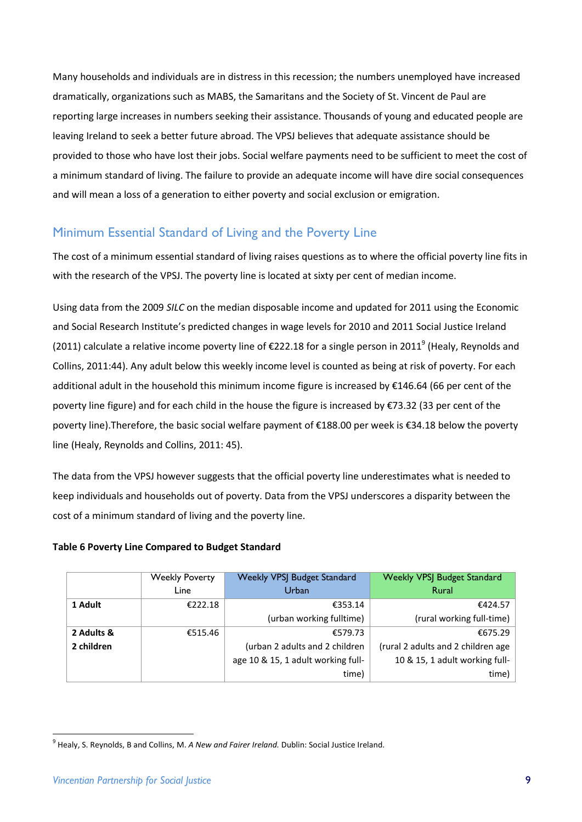Many households and individuals are in distress in this recession; the numbers unemployed have increased dramatically, organizations such as MABS, the Samaritans and the Society of St. Vincent de Paul are reporting large increases in numbers seeking their assistance. Thousands of young and educated people are leaving Ireland to seek a better future abroad. The VPSJ believes that adequate assistance should be provided to those who have lost their jobs. Social welfare payments need to be sufficient to meet the cost of a minimum standard of living. The failure to provide an adequate income will have dire social consequences and will mean a loss of a generation to either poverty and social exclusion or emigration.

# Minimum Essential Standard of Living and the Poverty Line

The cost of a minimum essential standard of living raises questions as to where the official poverty line fits in with the research of the VPSJ. The poverty line is located at sixty per cent of median income.

Using data from the 2009 *SILC* on the median disposable income and updated for 2011 using the Economic and Social Research Institute's predicted changes in wage levels for 2010 and 2011 Social Justice Ireland (2011) calculate a relative income poverty line of  $\epsilon$ 222.18 for a single person in 2011<sup>9</sup> (Healy, Reynolds and Collins, 2011:44). Any adult below this weekly income level is counted as being at risk of poverty. For each additional adult in the household this minimum income figure is increased by €146.64 (66 per cent of the poverty line figure) and for each child in the house the figure is increased by €73.32 (33 per cent of the poverty line).Therefore, the basic social welfare payment of €188.00 per week is €34.18 below the poverty line (Healy, Reynolds and Collins, 2011: 45).

The data from the VPSJ however suggests that the official poverty line underestimates what is needed to keep individuals and households out of poverty. Data from the VPSJ underscores a disparity between the cost of a minimum standard of living and the poverty line.

#### **Table 6 Poverty Line Compared to Budget Standard**

|            | <b>Weekly Poverty</b> | <b>Weekly VPSJ Budget Standard</b> | <b>Weekly VPSJ Budget Standard</b> |
|------------|-----------------------|------------------------------------|------------------------------------|
|            | Line                  | Urban                              | <b>Rural</b>                       |
| 1 Adult    | €222.18               | €353.14                            | €424.57                            |
|            |                       | (urban working fulltime)           | (rural working full-time)          |
| 2 Adults & | €515.46               | €579.73                            | €675.29                            |
| 2 children |                       | (urban 2 adults and 2 children     | (rural 2 adults and 2 children age |
|            |                       | age 10 & 15, 1 adult working full- | 10 & 15, 1 adult working full-     |
|            |                       | time)                              | time)                              |

<sup>9</sup> Healy, S. Reynolds, B and Collins, M. *A New and Fairer Ireland.* Dublin: Social Justice Ireland.